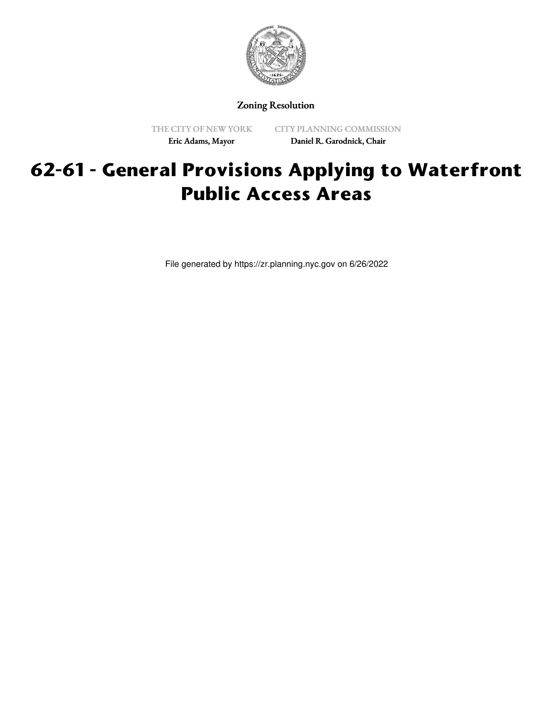

### Zoning Resolution

THE CITY OF NEW YORK Eric Adams, Mayor

CITY PLANNING COMMISSION Daniel R. Garodnick, Chair

# **62-61 - General Provisions Applying to Waterfront Public Access Areas**

File generated by https://zr.planning.nyc.gov on 6/26/2022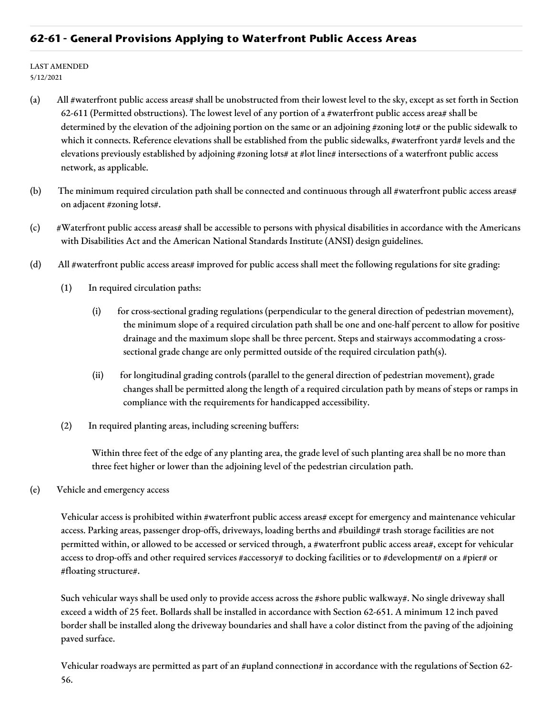### **62-61 - General Provisions Applying to Waterfront Public Access Areas**

LAST AMENDED 5/12/2021

- (a) All #waterfront public access areas# shall be unobstructed from their lowest level to the sky, except as set forth in Section 62-611 (Permitted obstructions). The lowest level of any portion of a #waterfront public access area# shall be determined by the elevation of the adjoining portion on the same or an adjoining #zoning lot# or the public sidewalk to which it connects. Reference elevations shall be established from the public sidewalks, #waterfront yard# levels and the elevations previously established by adjoining #zoning lots# at #lot line# intersections of a waterfront public access network, as applicable.
- (b) The minimum required circulation path shall be connected and continuous through all #waterfront public access areas# on adjacent #zoning lots#.
- (c) #Waterfront public access areas# shall be accessible to persons with physical disabilities in accordance with the Americans with Disabilities Act and the American National Standards Institute (ANSI) design guidelines.
- (d) All #waterfront public access areas# improved for public access shall meet the following regulations for site grading:
	- (1) In required circulation paths:
		- (i) for cross-sectional grading regulations (perpendicular to the general direction of pedestrian movement), the minimum slope of a required circulation path shall be one and one-half percent to allow for positive drainage and the maximum slope shall be three percent. Steps and stairways accommodating a crosssectional grade change are only permitted outside of the required circulation path(s).
		- (ii) for longitudinal grading controls (parallel to the general direction of pedestrian movement), grade changes shall be permitted along the length of a required circulation path by means of steps or ramps in compliance with the requirements for handicapped accessibility.
	- (2) In required planting areas, including screening buffers:

Within three feet of the edge of any planting area, the grade level of such planting area shall be no more than three feet higher or lower than the adjoining level of the pedestrian circulation path.

(e) Vehicle and emergency access

Vehicular access is prohibited within #waterfront public access areas# except for emergency and maintenance vehicular access. Parking areas, passenger drop-offs, driveways, loading berths and #building# trash storage facilities are not permitted within, or allowed to be accessed or serviced through, a #waterfront public access area#, except for vehicular access to drop-offs and other required services #accessory# to docking facilities or to #development# on a #pier# or #floating structure#.

Such vehicular ways shall be used only to provide access across the #shore public walkway#. No single driveway shall exceed a width of 25 feet. Bollards shall be installed in accordance with Section 62-651. A minimum 12 inch paved border shall be installed along the driveway boundaries and shall have a color distinct from the paving of the adjoining paved surface.

Vehicular roadways are permitted as part of an #upland connection# in accordance with the regulations of Section 62-56.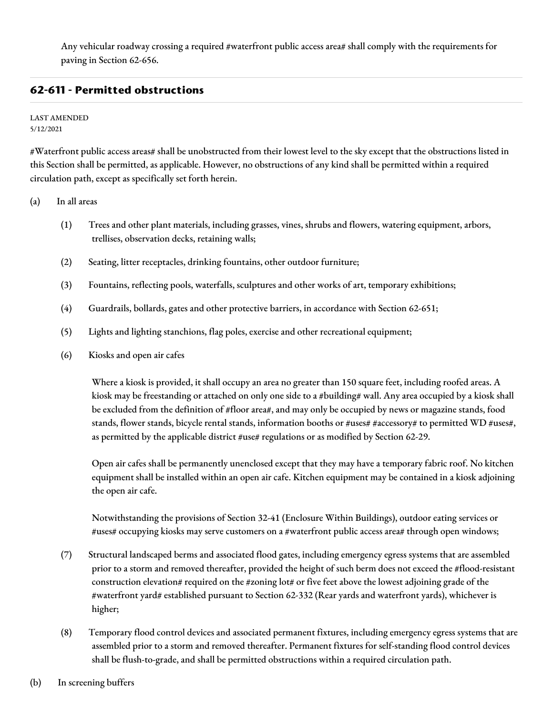Any vehicular roadway crossing a required #waterfront public access area# shall comply with the requirements for paving in Section 62-656.

## **62-611 - Permitted obstructions**

#### LAST AMENDED 5/12/2021

#Waterfront public access areas# shall be unobstructed from their lowest level to the sky except that the obstructions listed in this Section shall be permitted, as applicable. However, no obstructions of any kind shall be permitted within a required circulation path, except as specifically set forth herein.

(a) In all areas

- (1) Trees and other plant materials, including grasses, vines, shrubs and flowers, watering equipment, arbors, trellises, observation decks, retaining walls;
- (2) Seating, litter receptacles, drinking fountains, other outdoor furniture;
- (3) Fountains, reflecting pools, waterfalls, sculptures and other works of art, temporary exhibitions;
- (4) Guardrails, bollards, gates and other protective barriers, in accordance with Section 62-651;
- (5) Lights and lighting stanchions, flag poles, exercise and other recreational equipment;
- (6) Kiosks and open air cafes

Where a kiosk is provided, it shall occupy an area no greater than 150 square feet, including roofed areas. A kiosk may be freestanding or attached on only one side to a #building# wall. Any area occupied by a kiosk shall be excluded from the definition of #floor area#, and may only be occupied by news or magazine stands, food stands, flower stands, bicycle rental stands, information booths or #uses# #accessory# to permitted WD #uses#, as permitted by the applicable district #use# regulations or as modified by Section 62-29.

Open air cafes shall be permanently unenclosed except that they may have a temporary fabric roof. No kitchen equipment shall be installed within an open air cafe. Kitchen equipment may be contained in a kiosk adjoining the open air cafe.

Notwithstanding the provisions of Section 32-41 (Enclosure Within Buildings), outdoor eating services or #uses# occupying kiosks may serve customers on a #waterfront public access area# through open windows;

- (7) Structural landscaped berms and associated flood gates, including emergency egress systems that are assembled prior to a storm and removed thereafter, provided the height of such berm does not exceed the #flood-resistant construction elevation# required on the #zoning lot# or five feet above the lowest adjoining grade of the #waterfront yard# established pursuant to Section 62-332 (Rear yards and waterfront yards), whichever is higher;
- (8) Temporary flood control devices and associated permanent fixtures, including emergency egress systems that are assembled prior to a storm and removed thereafter. Permanent fixtures for self-standing flood control devices shall be flush-to-grade, and shall be permitted obstructions within a required circulation path.